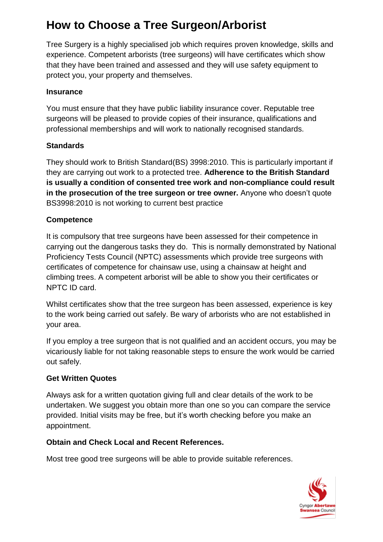# **How to Choose a Tree Surgeon/Arborist**

Tree Surgery is a highly specialised job which requires proven knowledge, skills and experience. Competent arborists (tree surgeons) will have certificates which show that they have been trained and assessed and they will use safety equipment to protect you, your property and themselves.

#### **Insurance**

You must ensure that they have public liability insurance cover. Reputable tree surgeons will be pleased to provide copies of their insurance, qualifications and professional memberships and will work to nationally recognised standards.

#### **Standards**

They should work to British Standard(BS) 3998:2010. This is particularly important if they are carrying out work to a protected tree. **Adherence to the British Standard is usually a condition of consented tree work and non-compliance could result in the prosecution of the tree surgeon or tree owner.** Anyone who doesn't quote BS3998:2010 is not working to current best practice

#### **Competence**

It is compulsory that tree surgeons have been assessed for their competence in carrying out the dangerous tasks they do. This is normally demonstrated by National Proficiency Tests Council (NPTC) assessments which provide tree surgeons with certificates of competence for chainsaw use, using a chainsaw at height and climbing trees. A competent arborist will be able to show you their certificates or NPTC ID card.

Whilst certificates show that the tree surgeon has been assessed, experience is key to the work being carried out safely. Be wary of arborists who are not established in your area.

If you employ a tree surgeon that is not qualified and an accident occurs, you may be vicariously liable for not taking reasonable steps to ensure the work would be carried out safely.

#### **Get Written Quotes**

Always ask for a written quotation giving full and clear details of the work to be undertaken. We suggest you obtain more than one so you can compare the service provided. Initial visits may be free, but it's worth checking before you make an appointment.

#### **Obtain and Check Local and Recent References.**

Most tree good tree surgeons will be able to provide suitable references.